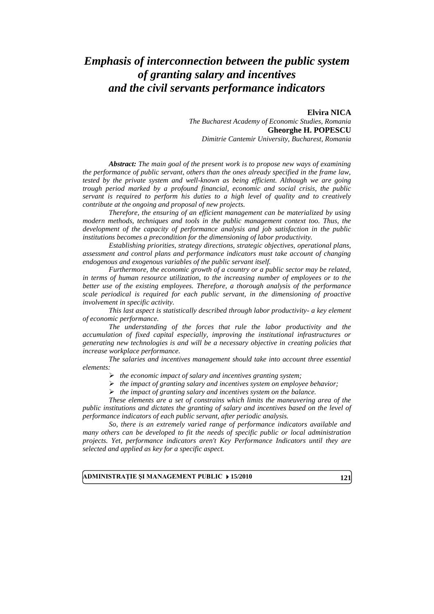# *Emphasis of interconnection between the public system of granting salary and incentives and the civil servants performance indicators*

#### **Elvira NICA**

*The Bucharest Academy of Economic Studies, Romania* **Gheorghe H. POPESCU**

*Dimitrie Cantemir University, Bucharest, Romania*

*Abstract: The main goal of the present work is to propose new ways of examining the performance of public servant, others than the ones already specified in the frame law, tested by the private system and well-known as being efficient. Although we are going trough period marked by a profound financial, economic and social crisis, the public servant is required to perform his duties to a high level of quality and to creatively contribute at the ongoing and proposal of new projects.*

*Therefore, the ensuring of an efficient management can be materialized by using modern methods, techniques and tools in the public management context too. Thus, the development of the capacity of performance analysis and job satisfaction in the public institutions becomes a precondition for the dimensioning of labor productivity.*

*Establishing priorities, strategy directions, strategic objectives, operational plans, assessment and control plans and performance indicators must take account of changing endogenous and exogenous variables of the public servant itself.*

*Furthermore, the economic growth of a country or a public sector may be related, in terms of human resource utilization, to the increasing number of employees or to the better use of the existing employees. Therefore, a thorough analysis of the performance scale periodical is required for each public servant, in the dimensioning of proactive involvement in specific activity.*

*This last aspect is statistically described through labor productivity- a key element of economic performance.*

*The understanding of the forces that rule the labor productivity and the accumulation of fixed capital especially, improving the institutional infrastructures or generating new technologies is and will be a necessary objective in creating policies that increase workplace performance.*

*The salaries and incentives management should take into account three essential elements:*

- *the economic impact of salary and incentives granting system;*
- *the impact of granting salary and incentives system on employee behavior;*
- *the impact of granting salary and incentives system on the balance.*

*These elements are a set of constrains which limits the maneuvering area of the public institutions and dictates the granting of salary and incentives based on the level of performance indicators of each public servant, after periodic analysis.*

*So, there is an extremely varied range of performance indicators available and many others can be developed to fit the needs of specific public or local administration projects. Yet, performance indicators aren't Key Performance Indicators until they are selected and applied as key for a specific aspect.*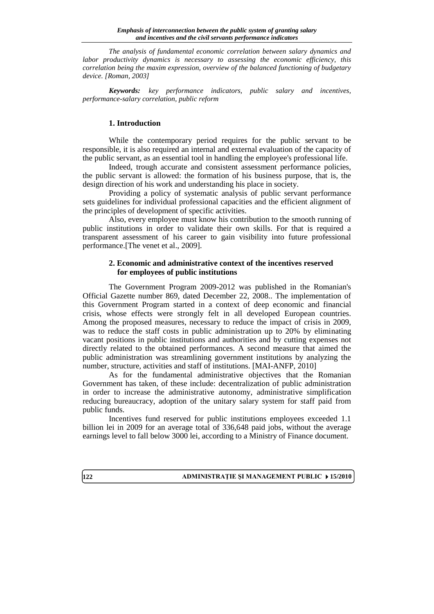*The analysis of fundamental economic correlation between salary dynamics and labor productivity dynamics is necessary to assessing the economic efficiency, this correlation being the maxim expression, overview of the balanced functioning of budgetary device. [Roman, 2003]*

*Keywords: key performance indicators, public salary and incentives, performance-salary correlation, public reform*

### **1. Introduction**

While the contemporary period requires for the public servant to be responsible, it is also required an internal and external evaluation of the capacity of the public servant, as an essential tool in handling the employee's professional life.

Indeed, trough accurate and consistent assessment performance policies, the public servant is allowed: the formation of his business purpose, that is, the design direction of his work and understanding his place in society.

Providing a policy of systematic analysis of public servant performance sets guidelines for individual professional capacities and the efficient alignment of the principles of development of specific activities.

Also, every employee must know his contribution to the smooth running of public institutions in order to validate their own skills. For that is required a transparent assessment of his career to gain visibility into future professional performance.[The venet et al., 2009].

#### **2. Economic and administrative context of the incentives reserved for employees of public institutions**

The Government Program 2009-2012 was published in the Romanian's Official Gazette number 869, dated December 22, 2008.. The implementation of this Government Program started in a context of deep economic and financial crisis, whose effects were strongly felt in all developed European countries. Among the proposed measures, necessary to reduce the impact of crisis in 2009, was to reduce the staff costs in public administration up to 20% by eliminating vacant positions in public institutions and authorities and by cutting expenses not directly related to the obtained performances. A second measure that aimed the public administration was streamlining government institutions by analyzing the number, structure, activities and staff of institutions. [MAI-ANFP, 2010]

As for the fundamental administrative objectives that the Romanian Government has taken, of these include: decentralization of public administration in order to increase the administrative autonomy, administrative simplification reducing bureaucracy, adoption of the unitary salary system for staff paid from public funds.

Incentives fund reserved for public institutions employees exceeded 1.1 billion lei in 2009 for an average total of 336,648 paid jobs, without the average earnings level to fall below 3000 lei, according to a Ministry of Finance document.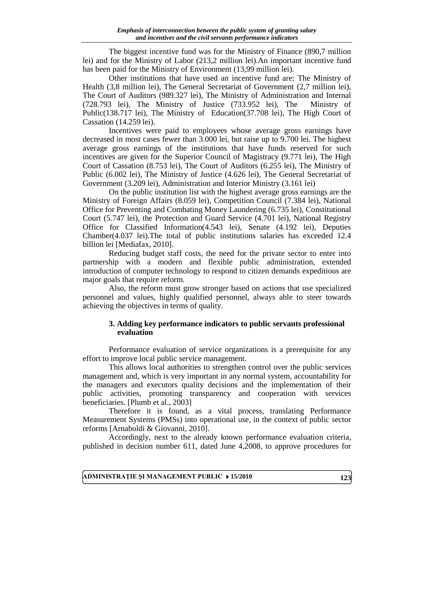The biggest incentive fund was for the Ministry of Finance (890,7 million lei) and for the Ministry of Labor (213,2 million lei).An important incentive fund has been paid for the Ministry of Environment (13,99 million lei).

Other institutions that have used an incentive fund are: The Ministry of Health (3,8 million lei), The General Secretariat of Government (2,7 million lei), The Court of Auditors (989.327 lei), The Ministry of Administration and Internal (728.793 lei), The Ministry of Justice (733.952 lei), The Ministry of Public(138.717 lei), The Ministry of Education(37.708 lei), The High Court of Cassation (14.259 lei).

Incentives were paid to employees whose average gross earnings have decreased in most cases fewer than 3.000 lei, but raise up to 9.700 lei. The highest average gross earnings of the institutions that have funds reserved for such incentives are given for the Superior Council of Magistracy (9.771 lei), The High Court of Cassation (8.753 lei), The Court of Auditors (6.255 lei), The Ministry of Public (6.002 lei), The Ministry of Justice (4.626 lei), The General Secretariat of Government (3.209 lei), Administration and Interior Ministry (3.161 lei)

On the public institution list with the highest average gross earnings are the Ministry of Foreign Affairs (8.059 lei), Competition Council (7.384 lei), National Office for Preventing and Combating Money Laundering (6.735 lei), Constitutional Court (5.747 lei), the Protection and Guard Service (4.701 lei), National Registry Office for Classified Information(4.543 lei), Senate (4.192 lei), Deputies Chamber(4.037 lei).The total of public institutions salaries has exceeded 12.4 billion lei [Mediafax, 2010].

Reducing budget staff costs, the need for the private sector to enter into partnership with a modern and flexible public administration, extended introduction of computer technology to respond to citizen demands expeditious are major goals that require reform.

Also, the reform must grow stronger based on actions that use specialized personnel and values, highly qualified personnel, always able to steer towards achieving the objectives in terms of quality.

## **3. Adding key performance indicators to public servants professional evaluation**

Performance evaluation of service organizations is a prerequisite for any effort to improve local public service management.

This allows local authorities to strengthen control over the public services management and, which is very important in any normal system, accountability for the managers and executors quality decisions and the implementation of their public activities, promoting transparency and cooperation with services beneficiaries. [Plumb et al., 2003]

Therefore it is found, as a vital process, translating Performance Measurement Systems (PMSs) into operational use, in the context of public sector reforms [Arnaboldi & Giovanni, 2010].

Accordingly, next to the already known performance evaluation criteria, published in decision number 611, dated June 4,2008, to approve procedures for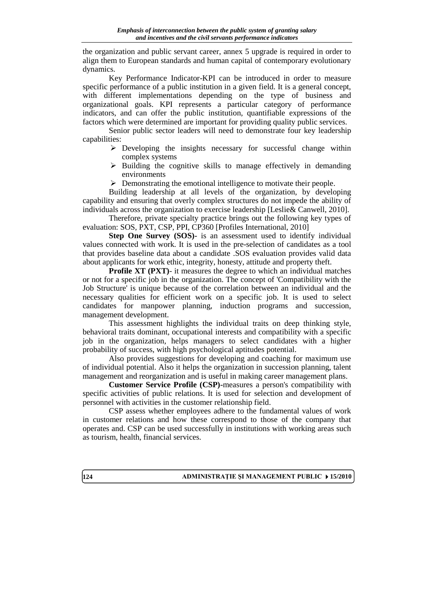the organization and public servant career, annex 5 upgrade is required in order to align them to European standards and human capital of contemporary evolutionary dynamics.

Key Performance Indicator-KPI can be introduced in order to measure specific performance of a public institution in a given field. It is a general concept, with different implementations depending on the type of business and organizational goals. KPI represents a particular category of performance indicators, and can offer the public institution, quantifiable expressions of the factors which were determined are important for providing quality public services.

Senior public sector leaders will need to demonstrate four key leadership capabilities:

- $\triangleright$  Developing the insights necessary for successful change within complex systems
- $\triangleright$  Building the cognitive skills to manage effectively in demanding environments
- $\triangleright$  Demonstrating the emotional intelligence to motivate their people.

Building leadership at all levels of the organization, by developing capability and ensuring that overly complex structures do not impede the ability of individuals across the organization to exercise leadership [Leslie& Canwell, 2010].

Therefore, private specialty practice brings out the following key types of evaluation: SOS, PXT, CSP, PPI, CP360 [Profiles International, 2010]

**Step One Survey (SOS)-** is an assessment used to identify individual values connected with work. It is used in the pre-selection of candidates as a tool that provides baseline data about a candidate .SOS evaluation provides valid data about applicants for work ethic, integrity, honesty, attitude and property theft.

**Profile XT (PXT)**- it measures the degree to which an individual matches or not for a specific job in the organization. The concept of 'Compatibility with the Job Structure' is unique because of the correlation between an individual and the necessary qualities for efficient work on a specific job. It is used to select candidates for manpower planning, induction programs and succession, management development.

This assessment highlights the individual traits on deep thinking style, behavioral traits dominant, occupational interests and compatibility with a specific job in the organization, helps managers to select candidates with a higher probability of success, with high psychological aptitudes potential.

Also provides suggestions for developing and coaching for maximum use of individual potential. Also it helps the organization in succession planning, talent management and reorganization and is useful in making career management plans.

**Customer Service Profile (CSP)-**measures a person's compatibility with specific activities of public relations. It is used for selection and development of personnel with activities in the customer relationship field.

CSP assess whether employees adhere to the fundamental values of work in customer relations and how these correspond to those of the company that operates and. CSP can be used successfully in institutions with working areas such as tourism, health, financial services.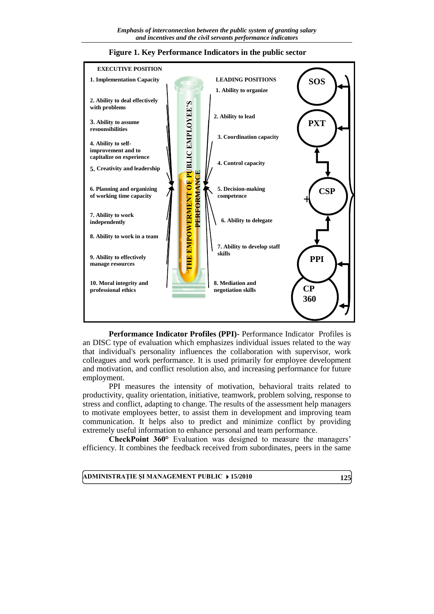

**Figure 1. Key Performance Indicators in the public sector** 

**Performance Indicator Profiles (PPI)-** Performance Indicator Profiles is an DISC type of evaluation which emphasizes individual issues related to the way that individual's personality influences the collaboration with supervisor, work colleagues and work performance. It is used primarily for employee development and motivation, and conflict resolution also, and increasing performance for future employment.

PPI measures the intensity of motivation, behavioral traits related to productivity, quality orientation, initiative, teamwork, problem solving, response to stress and conflict, adapting to change. The results of the assessment help managers to motivate employees better, to assist them in development and improving team communication. It helps also to predict and minimize conflict by providing extremely useful information to enhance personal and team performance.

**CheckPoint 360°** Evaluation was designed to measure the managers' efficiency. It combines the feedback received from subordinates, peers in the same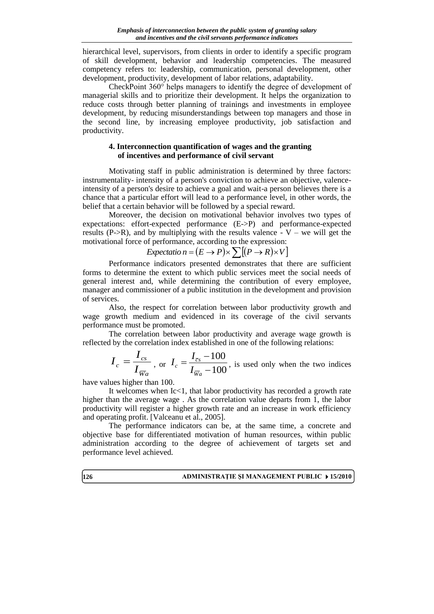hierarchical level, supervisors, from clients in order to identify a specific program of skill development, behavior and leadership competencies. The measured competency refers to: leadership, communication, personal development, other development, productivity, development of labor relations, adaptability.

CheckPoint 360° helps managers to identify the degree of development of managerial skills and to prioritize their development. It helps the organization to reduce costs through better planning of trainings and investments in employee development, by reducing misunderstandings between top managers and those in the second line, by increasing employee productivity, job satisfaction and productivity.

### **4. Interconnection quantification of wages and the granting of incentives and performance of civil servant**

Motivating staff in public administration is determined by three factors: instrumentality- intensity of a person's conviction to achieve an objective, valenceintensity of a person's desire to achieve a goal and wait-a person believes there is a chance that a particular effort will lead to a performance level, in other words, the belief that a certain behavior will be followed by a special reward.

Moreover, the decision on motivational behavior involves two types of expectations: effort-expected performance (E->P) and performance-expected results (P- $>R$ ), and by multiplying with the results valence - V – we will get the motivational force of performance, according to the expression:

$$
Expectation = (E \rightarrow P) \times \sum [(P \rightarrow R) \times V]
$$

Performance indicators presented demonstrates that there are sufficient forms to determine the extent to which public services meet the social needs of general interest and, while determining the contribution of every employee, manager and commissioner of a public institution in the development and provision of services.

Also, the respect for correlation between labor productivity growth and wage growth medium and evidenced in its coverage of the civil servants performance must be promoted.

The correlation between labor productivity and average wage growth is reflected by the correlation index established in one of the following relations:

$$
I_c = \frac{I_{cs}}{I_{\overline{wa}}}
$$
, or  $I_c = \frac{I_{\overline{c}s} - 100}{I_{\overline{wa}} - 100}$ , is used only when the two indices

have values higher than 100.

It welcomes when  $Ic<1$ , that labor productivity has recorded a growth rate higher than the average wage . As the correlation value departs from 1, the labor productivity will register a higher growth rate and an increase in work efficiency and operating profit. [Valceanu et al., 2005].

The performance indicators can be, at the same time, a concrete and objective base for differentiated motivation of human resources, within public administration according to the degree of achievement of targets set and performance level achieved.